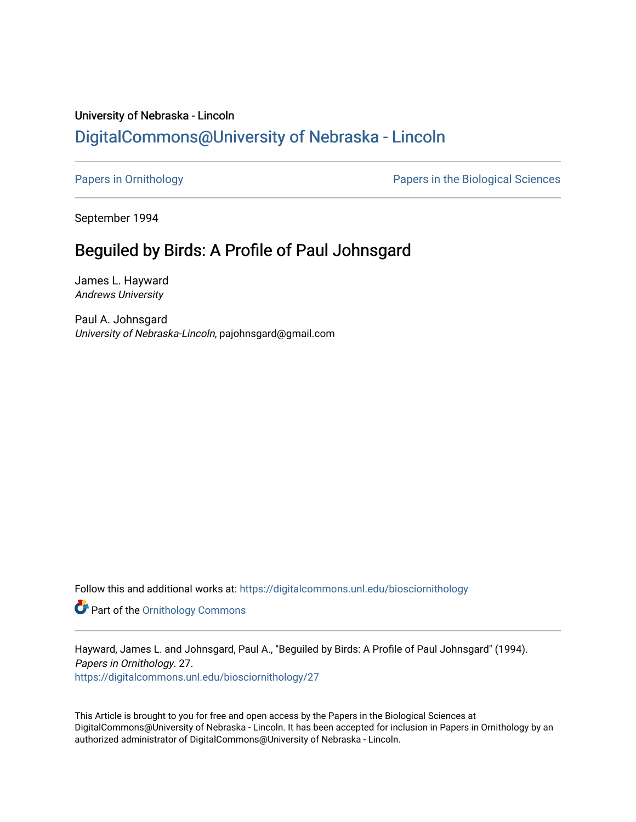## University of Nebraska - Lincoln [DigitalCommons@University of Nebraska - Lincoln](https://digitalcommons.unl.edu/)

[Papers in Ornithology](https://digitalcommons.unl.edu/biosciornithology) [Papers in the Biological Sciences](https://digitalcommons.unl.edu/bioscipapers) 

September 1994

### Beguiled by Birds: A Profile of Paul Johnsgard

James L. Hayward Andrews University

Paul A. Johnsgard University of Nebraska-Lincoln, pajohnsgard@gmail.com

Follow this and additional works at: [https://digitalcommons.unl.edu/biosciornithology](https://digitalcommons.unl.edu/biosciornithology?utm_source=digitalcommons.unl.edu%2Fbiosciornithology%2F27&utm_medium=PDF&utm_campaign=PDFCoverPages) 

**Part of the Ornithology Commons** 

Hayward, James L. and Johnsgard, Paul A., "Beguiled by Birds: A Profile of Paul Johnsgard" (1994). Papers in Ornithology. 27.

[https://digitalcommons.unl.edu/biosciornithology/27](https://digitalcommons.unl.edu/biosciornithology/27?utm_source=digitalcommons.unl.edu%2Fbiosciornithology%2F27&utm_medium=PDF&utm_campaign=PDFCoverPages) 

This Article is brought to you for free and open access by the Papers in the Biological Sciences at DigitalCommons@University of Nebraska - Lincoln. It has been accepted for inclusion in Papers in Ornithology by an authorized administrator of DigitalCommons@University of Nebraska - Lincoln.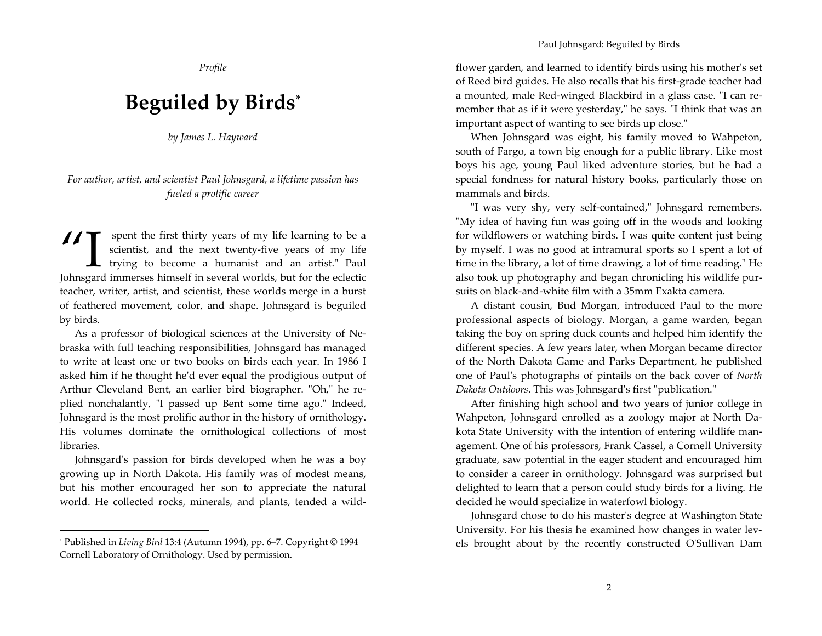Profile

# Beguiled by Birds\*

by James L. Hayward

#### For author, artist, and scientist Paul Johnsgard, a lifetime passion has fueled a prolific career

Solution of my life learning to be a scientist, and the next twenty-five years of my life L trying to become a humanist and an artist." Paul Johnsgard immerses himself in several worlds, but for the eclectic teacher, writer, artist, and scientist, these worlds merge in a burst of feathered movement, color, and shape. Johnsgard is beguiled by birds.

As a professor of biological sciences at the University of Nebraska with full teaching responsibilities, Johnsgard has managed to write at least one or two books on birds each year. In 1986 I asked him if he thought he'd ever equal the prodigious output of Arthur Cleveland Bent, an earlier bird biographer. "Oh," he replied nonchalantly, "I passed up Bent some time ago." Indeed, Johnsgard is the most prolific author in the history of ornithology. His volumes dominate the ornithological collections of most libraries.

Johnsgard's passion for birds developed when he was a boy growing up in North Dakota. His family was of modest means, but his mother encouraged her son to appreciate the natural world. He collected rocks, minerals, and plants, tended a wild-

flower garden, and learned to identify birds using his mother's set of Reed bird guides. He also recalls that his first-grade teacher had a mounted, male Red-winged Blackbird in a glass case. "I can remember that as if it were yesterday," he says. "I think that was an important aspect of wanting to see birds up close."

When Johnsgard was eight, his family moved to Wahpeton, south of Fargo, a town big enough for a public library. Like most boys his age, young Paul liked adventure stories, but he had a special fondness for natural history books, particularly those on mammals and birds.

"I was very shy, very self-contained," Johnsgard remembers. "My idea of having fun was going off in the woods and looking for wildflowers or watching birds. I was quite content just being by myself. I was no good at intramural sports so I spent a lot of time in the library, a lot of time drawing, a lot of time reading." He also took up photography and began chronicling his wildlife pursuits on black-and-white film with a 35mm Exakta camera.

A distant cousin, Bud Morgan, introduced Paul to the more professional aspects of biology. Morgan, a game warden, began taking the boy on spring duck counts and helped him identify the different species. A few years later, when Morgan became director of the North Dakota Game and Parks Department, he published one of Paul's photographs of pintails on the back cover of North Dakota Outdoors. This was Johnsgard's first "publication."

After finishing high school and two years of junior college in Wahpeton, Johnsgard enrolled as a zoology major at North Dakota State University with the intention of entering wildlife management. One of his professors, Frank Cassel, a Cornell University graduate, saw potential in the eager student and encouraged him to consider a career in ornithology. Johnsgard was surprised but delighted to learn that a person could study birds for a living. He decided he would specialize in waterfowl biology.

Johnsgard chose to do his master's degree at Washington State University. For his thesis he examined how changes in water levels brought about by the recently constructed O'Sullivan Dam

<sup>\*</sup> Published in Living Bird 13:4 (Autumn 1994), pp. 6-7. Copyright © 1994 Cornell Laboratory of Ornithology. Used by permission.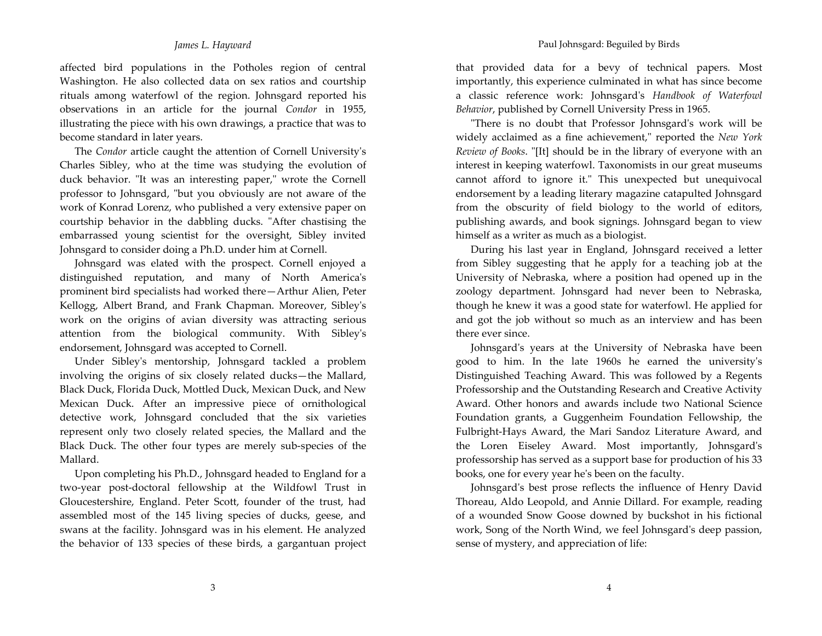affected bird populations in the Potholes region of central Washington. He also collected data on sex ratios and courtship rituals among waterfowl of the region. Johnsgard reported his observations in an article for the journal Condor in 1955, illustrating the piece with his own drawings, a practice that was to become standard in later years.

The *Condor* article caught the attention of Cornell University's Charles Sibley, who at the time was studying the evolution of duck behavior. "It was an interesting paper," wrote the Cornell professor to Johnsgard, "but you obviously are not aware of the work of Konrad Lorenz, who published a very extensive paper on courtship behavior in the dabbling ducks. "After chastising the embarrassed young scientist for the oversight, Sibley invited Johnsgard to consider doing a Ph.D. under him at Cornell.

Johnsgard was elated with the prospect. Cornell enjoyed a distinguished reputation, and many of North America's prominent bird specialists had worked there-Arthur Alien, Peter Kellogg, Albert Brand, and Frank Chapman. Moreover, Sibley's work on the origins of avian diversity was attracting serious attention from the biological community. With Sibley's endorsement, Johnsgard was accepted to Cornell.

Under Sibley's mentorship, Johnsgard tackled a problem involving the origins of six closely related ducks—the Mallard, Black Duck, Florida Duck, Mottled Duck, Mexican Duck, and New Mexican Duck. After an impressive piece of ornithological detective work, Johnsgard concluded that the six varieties represent only two closely related species, the Mallard and the Black Duck. The other four types are merely sub-species of the Mallard.

Upon completing his Ph.D., Johnsgard headed to England for a two-year post-doctoral fellowship at the Wildfowl Trust in Gloucestershire, England. Peter Scott, founder of the trust, had assembled most of the 145 living species of ducks, geese, and swans at the facility. Johnsgard was in his element. He analyzed the behavior of 133 species of these birds, a gargantuan project that provided data for a bevy of technical papers. Most importantly, this experience culminated in what has since become a classic reference work: Johnsgard's Handbook of Waterfowl Behavior, published by Cornell University Press in 1965.

"There is no doubt that Professor Johnsgard's work will be widely acclaimed as a fine achievement," reported the New York Review of Books. "[It] should be in the library of everyone with an interest in keeping waterfowl. Taxonomists in our great museums cannot afford to ignore it." This unexpected but unequivocal endorsement by a leading literary magazine catapulted Johnsgard from the obscurity of field biology to the world of editors, publishing awards, and book signings. Johnsgard began to view himself as a writer as much as a biologist.

During his last year in England, Johnsgard received a letter from Sibley suggesting that he apply for a teaching job at the University of Nebraska, where a position had opened up in the zoology department. Johnsgard had never been to Nebraska, though he knew it was a good state for waterfowl. He applied for and got the job without so much as an interview and has been there ever since.

Johnsgard's years at the University of Nebraska have been good to him. In the late 1960s he earned the university's Distinguished Teaching Award. This was followed by a Regents Professorship and the Outstanding Research and Creative Activity Award. Other honors and awards include two National Science Foundation grants, a Guggenheim Foundation Fellowship, the Fulbright-Hays Award, the Mari Sandoz Literature Award, and the Loren Eiseley Award. Most importantly, Johnsgard's professorship has served as a support base for production of his 33 books, one for every year he's been on the faculty.

Johnsgard's best prose reflects the influence of Henry David Thoreau, Aldo Leopold, and Annie Dillard. For example, reading of a wounded Snow Goose downed by buckshot in his fictional work, Song of the North Wind, we feel Johnsgard's deep passion, sense of mystery, and appreciation of life: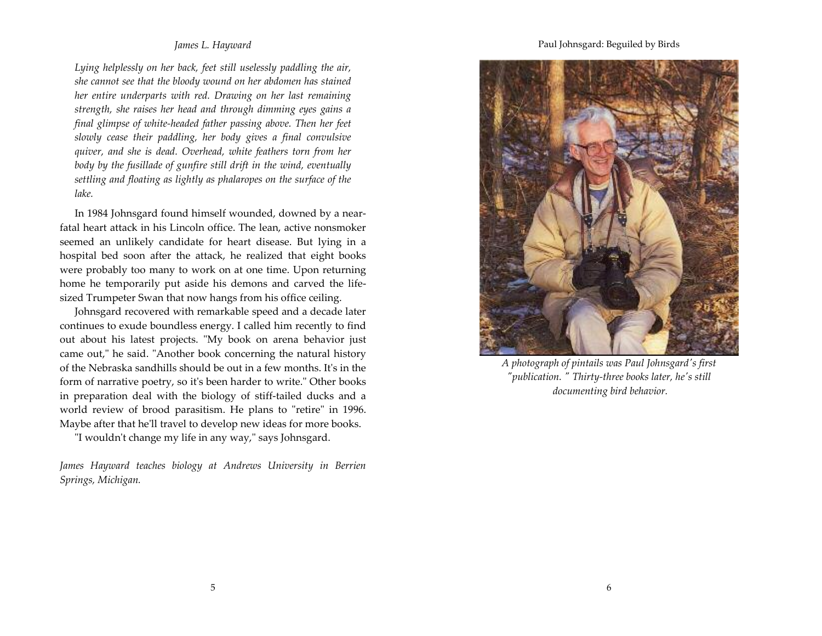#### James L. Hayward

Lying helplessly on her back, feet still uselessly paddling the air, she cannot see that the bloody wound on her abdomen has stained her entire underparts with red. Drawing on her last remaining strength, she raises her head and through dimming eyes gains a final glimpse of white-headed father passing above. Then her feet slowly cease their paddling, her body gives a final convulsive quiver, and she is dead. Overhead, white feathers torn from her body by the fusillade of gunfire still drift in the wind, eventually settling and floating as lightly as phalaropes on the surface of the lake.

In 1984 Johnsgard found himself wounded, downed by a nearfatal heart attack in his Lincoln office. The lean, active nonsmoker seemed an unlikely candidate for heart disease. But lying in a hospital bed soon after the attack, he realized that eight books were probably too many to work on at one time. Upon returning home he temporarily put aside his demons and carved the lifesized Trumpeter Swan that now hangs from his office ceiling.

Johnsgard recovered with remarkable speed and a decade later continues to exude boundless energy. I called him recently to find out about his latest projects. "My book on arena behavior just came out," he said. "Another book concerning the natural history of the Nebraska sandhills should be out in a few months. It's in the form of narrative poetry, so it's been harder to write." Other books in preparation deal with the biology of stiff-tailed ducks and a world review of brood parasitism. He plans to "retire" in 1996. Maybe after that he'll travel to develop new ideas for more books.

"I wouldn't change my life in any way," says Johnsgard.

James Hayward teaches biology at Andrews University in Berrien Springs, Michigan.

Paul Johnsgard: Beguiled by Birds



A photograph of pintails was Paul Johnsgard's first "publication. " Thirty-three books later, he's still documenting bird behavior.